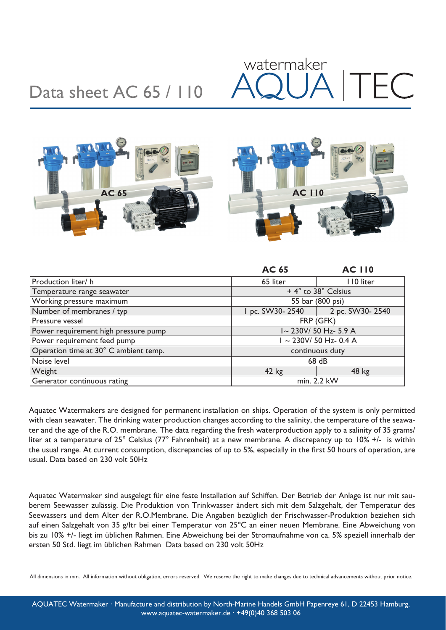## watermaker

Data sheet AC 65 / 110



|                                       | <b>AC 65</b>                          | <b>AC 110</b>   |
|---------------------------------------|---------------------------------------|-----------------|
| Production liter/ h                   | 65 liter                              | I I0 liter      |
| Temperature range seawater            | $+4^{\circ}$ to 38 $^{\circ}$ Celsius |                 |
| <b>Working pressure maximum</b>       | 55 bar (800 psi)                      |                 |
| Number of membranes / typ             | I pc. SW30-2540                       | 2 pc. SW30-2540 |
| <b>Pressure vessel</b>                | FRP (GFK)                             |                 |
| Power requirement high pressure pump  | I~230V/50 Hz-5.9 A                    |                 |
| Power requirement feed pump           | $I \sim 230V/50$ Hz- 0.4 A            |                 |
| Operation time at 30° C ambient temp. | continuous duty                       |                 |
| Noise level                           | 68 dB                                 |                 |
| Weight                                | $42$ kg                               | $48$ kg         |
| Generator continuous rating           | min. 2.2 kW                           |                 |

Aquatec Watermakers are designed for permanent installation on ships. Operation of the system is only permitted with clean seawater. The drinking water production changes according to the salinity, the temperature of the seawater and the age of the R.O. membrane. The data regarding the fresh waterproduction apply to a salinity of 35 grams/ liter at a temperature of 25° Celsius (77° Fahrenheit) at a new membrane. A discrepancy up to 10% +/- is within the usual range. At current consumption, discrepancies of up to 5%, especially in the first 50 hours of operation, are usual. Data based on 230 volt 50Hz

Aquatec Watermaker sind ausgelegt für eine feste Installation auf Schiffen. Der Betrieb der Anlage ist nur mit sauberem Seewasser zulässig. Die Produktion von Trinkwasser ändert sich mit dem Salzgehalt, der Temperatur des Seewassers und dem Alter der R.O.Membrane. Die Angaben bezüglich der Frischwasser-Produktion beziehen sich auf einen Salzgehalt von 35 g/ltr bei einer Temperatur von 25ºC an einer neuen Membrane. Eine Abweichung von bis zu 10% +/- liegt im üblichen Rahmen. Eine Abweichung bei der Stromaufnahme von ca. 5% speziell innerhalb der ersten 50 Std. liegt im üblichen Rahmen Data based on 230 volt 50Hz

All dimensions in mm. All information without obligation, errors reserved. We reserve the right to make changes due to technical advancements without prior notice.